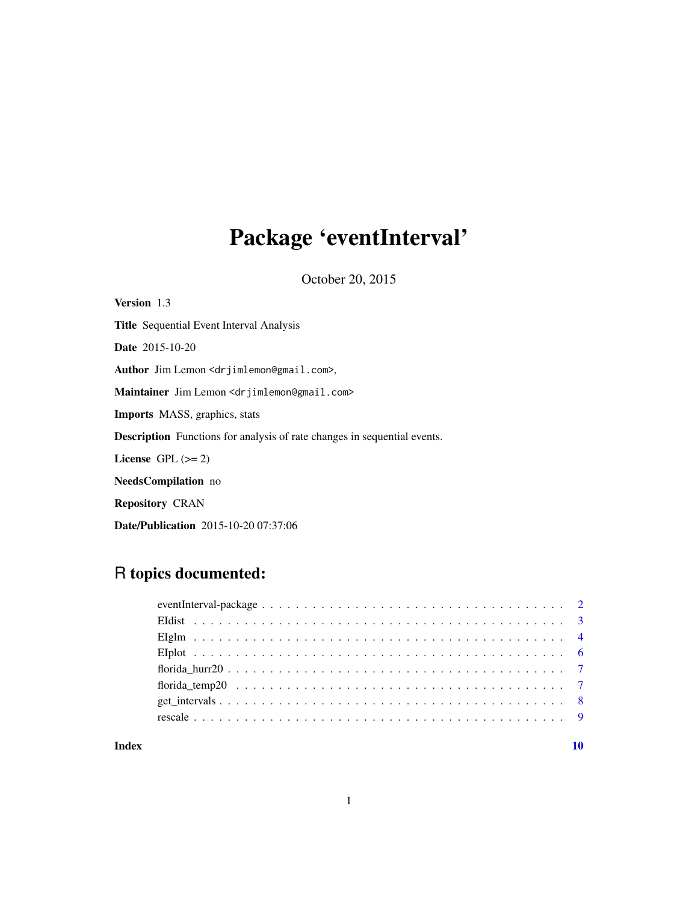# Package 'eventInterval'

October 20, 2015

| <b>Version</b> 1.3                                                              |
|---------------------------------------------------------------------------------|
| <b>Title</b> Sequential Event Interval Analysis                                 |
| <b>Date</b> 2015-10-20                                                          |
| Author Jim Lemon <drjimlemon@gmail.com>,</drjimlemon@gmail.com>                 |
| Maintainer Jim Lemon <drjimlemon@gmail.com></drjimlemon@gmail.com>              |
| <b>Imports</b> MASS, graphics, stats                                            |
| <b>Description</b> Functions for analysis of rate changes in sequential events. |
| License $GPL (= 2)$                                                             |
| <b>NeedsCompilation</b> no                                                      |
| <b>Repository CRAN</b>                                                          |
| <b>Date/Publication</b> 2015-10-20 07:37:06                                     |

# R topics documented:

#### $\blacksquare$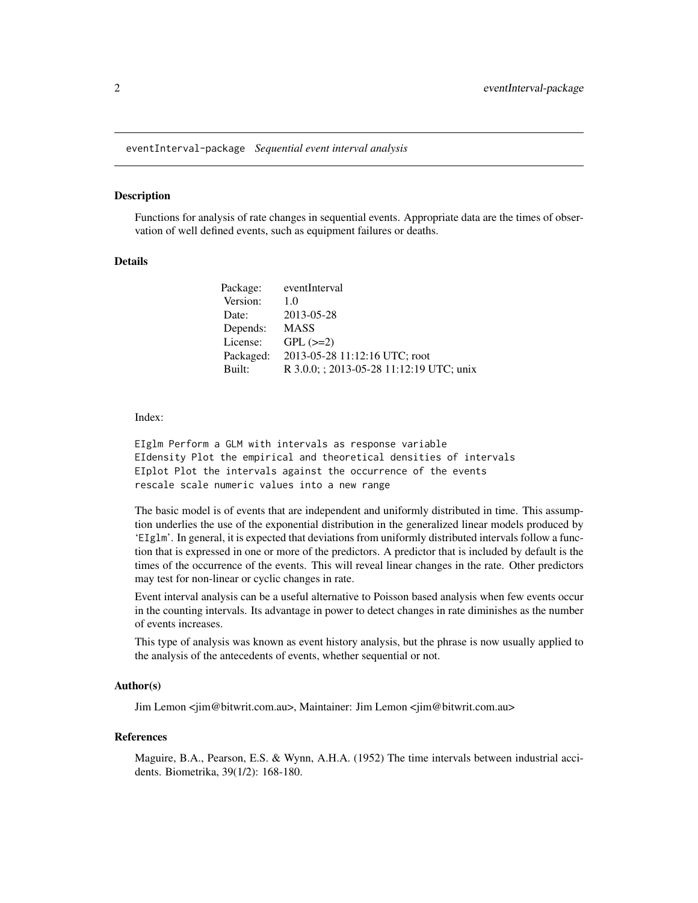<span id="page-1-0"></span>eventInterval-package *Sequential event interval analysis*

#### Description

Functions for analysis of rate changes in sequential events. Appropriate data are the times of observation of well defined events, such as equipment failures or deaths.

#### Details

| Package:  | eventInterval                            |
|-----------|------------------------------------------|
| Version:  | 1.0                                      |
| Date:     | 2013-05-28                               |
| Depends:  | <b>MASS</b>                              |
| License:  | $GPL (=2)$                               |
| Packaged: | 2013-05-28 11:12:16 UTC; root            |
| Built:    | R 3.0.0; ; 2013-05-28 11:12:19 UTC; unix |

Index:

EIglm Perform a GLM with intervals as response variable EIdensity Plot the empirical and theoretical densities of intervals EIplot Plot the intervals against the occurrence of the events rescale scale numeric values into a new range

The basic model is of events that are independent and uniformly distributed in time. This assumption underlies the use of the exponential distribution in the generalized linear models produced by 'EIglm'. In general, it is expected that deviations from uniformly distributed intervals follow a function that is expressed in one or more of the predictors. A predictor that is included by default is the times of the occurrence of the events. This will reveal linear changes in the rate. Other predictors may test for non-linear or cyclic changes in rate.

Event interval analysis can be a useful alternative to Poisson based analysis when few events occur in the counting intervals. Its advantage in power to detect changes in rate diminishes as the number of events increases.

This type of analysis was known as event history analysis, but the phrase is now usually applied to the analysis of the antecedents of events, whether sequential or not.

#### Author(s)

Jim Lemon <jim@bitwrit.com.au>, Maintainer: Jim Lemon <jim@bitwrit.com.au>

#### References

Maguire, B.A., Pearson, E.S. & Wynn, A.H.A. (1952) The time intervals between industrial accidents. Biometrika, 39(1/2): 168-180.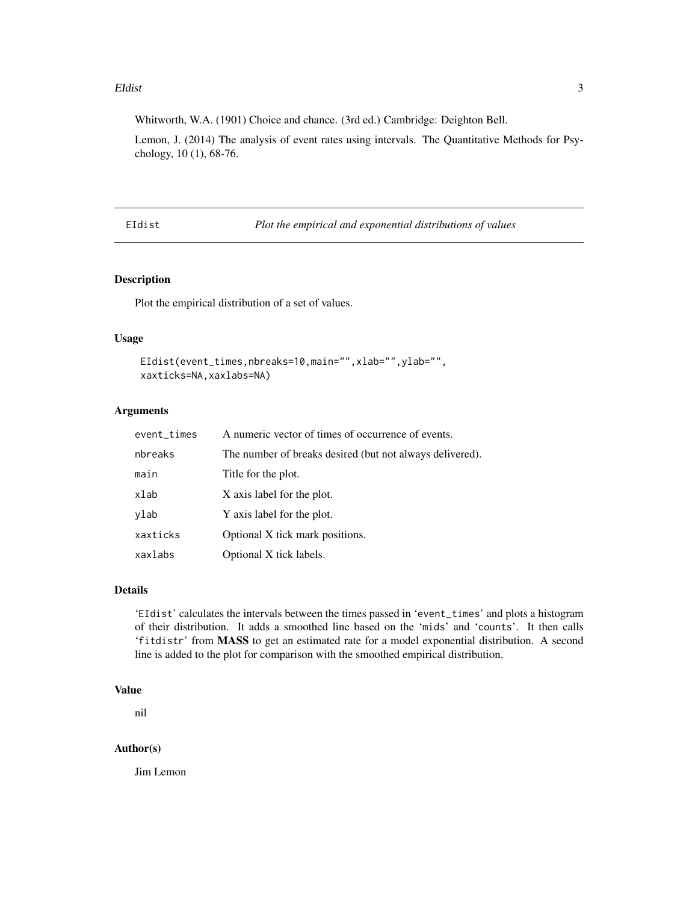#### <span id="page-2-0"></span>EIdist 3

Whitworth, W.A. (1901) Choice and chance. (3rd ed.) Cambridge: Deighton Bell.

Lemon, J. (2014) The analysis of event rates using intervals. The Quantitative Methods for Psychology, 10 (1), 68-76.

EIdist *Plot the empirical and exponential distributions of values*

# Description

Plot the empirical distribution of a set of values.

# Usage

```
EIdist(event_times,nbreaks=10,main="",xlab="",ylab="",
xaxticks=NA,xaxlabs=NA)
```
# Arguments

| event_times | A numeric vector of times of occurrence of events.       |
|-------------|----------------------------------------------------------|
| nbreaks     | The number of breaks desired (but not always delivered). |
| main        | Title for the plot.                                      |
| xlab        | X axis label for the plot.                               |
| ylab        | Y axis label for the plot.                               |
| xaxticks    | Optional X tick mark positions.                          |
| xaxlabs     | Optional X tick labels.                                  |

# Details

'EIdist' calculates the intervals between the times passed in 'event\_times' and plots a histogram of their distribution. It adds a smoothed line based on the 'mids' and 'counts'. It then calls 'fitdistr' from MASS to get an estimated rate for a model exponential distribution. A second line is added to the plot for comparison with the smoothed empirical distribution.

# Value

nil

#### Author(s)

Jim Lemon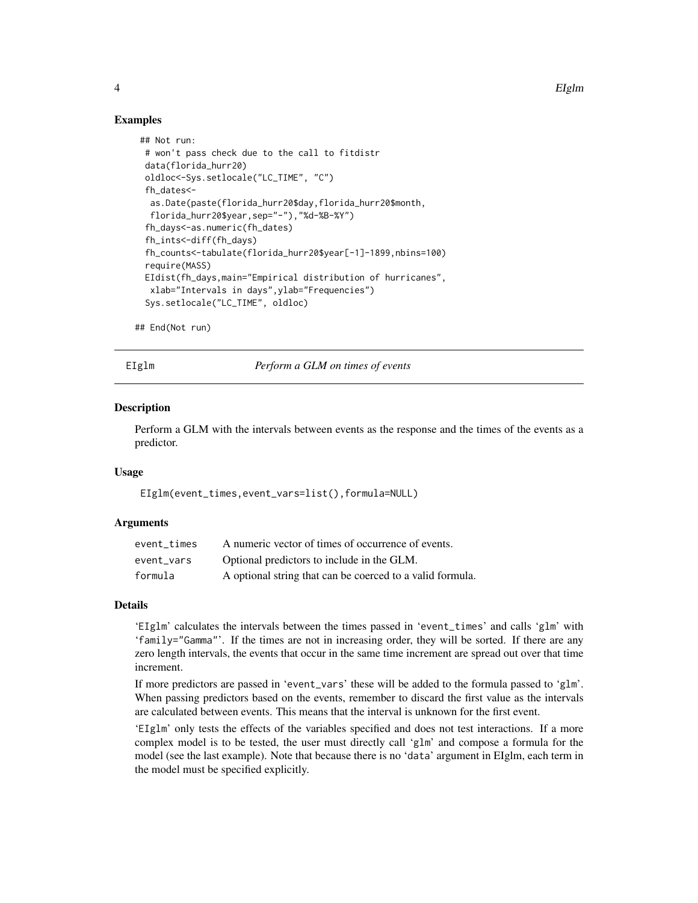<span id="page-3-0"></span>4 EIglm

# Examples

```
## Not run:
# won't pass check due to the call to fitdistr
data(florida_hurr20)
oldloc<-Sys.setlocale("LC_TIME", "C")
fh_dates<-
 as.Date(paste(florida_hurr20$day,florida_hurr20$month,
 florida_hurr20$year,sep="-"),"%d-%B-%Y")
 fh_days<-as.numeric(fh_dates)
fh_ints<-diff(fh_days)
fh_counts<-tabulate(florida_hurr20$year[-1]-1899,nbins=100)
require(MASS)
EIdist(fh_days,main="Empirical distribution of hurricanes",
 xlab="Intervals in days",ylab="Frequencies")
Sys.setlocale("LC_TIME", oldloc)
```

```
## End(Not run)
```
EIglm *Perform a GLM on times of events*

#### Description

Perform a GLM with the intervals between events as the response and the times of the events as a predictor.

#### Usage

EIglm(event\_times,event\_vars=list(),formula=NULL)

#### Arguments

| event times | A numeric vector of times of occurrence of events.        |
|-------------|-----------------------------------------------------------|
| event vars  | Optional predictors to include in the GLM.                |
| formula     | A optional string that can be coerced to a valid formula. |

#### Details

'EIglm' calculates the intervals between the times passed in 'event\_times' and calls 'glm' with 'family="Gamma"'. If the times are not in increasing order, they will be sorted. If there are any zero length intervals, the events that occur in the same time increment are spread out over that time increment.

If more predictors are passed in 'event\_vars' these will be added to the formula passed to 'glm'. When passing predictors based on the events, remember to discard the first value as the intervals are calculated between events. This means that the interval is unknown for the first event.

'EIglm' only tests the effects of the variables specified and does not test interactions. If a more complex model is to be tested, the user must directly call 'glm' and compose a formula for the model (see the last example). Note that because there is no 'data' argument in EIglm, each term in the model must be specified explicitly.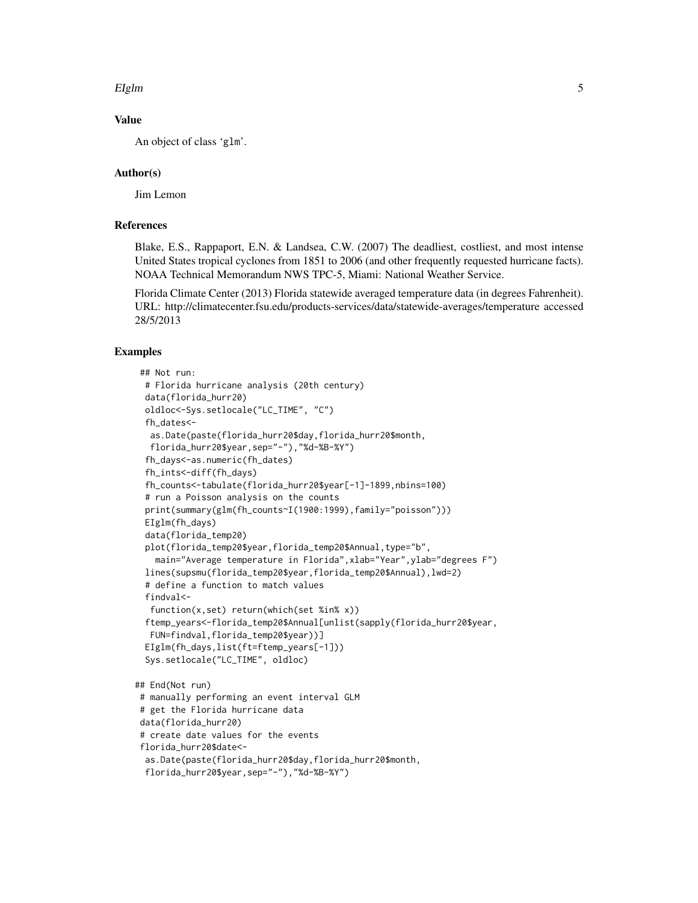#### EIglm 5

# Value

An object of class 'glm'.

# Author(s)

Jim Lemon

# References

Blake, E.S., Rappaport, E.N. & Landsea, C.W. (2007) The deadliest, costliest, and most intense United States tropical cyclones from 1851 to 2006 (and other frequently requested hurricane facts). NOAA Technical Memorandum NWS TPC-5, Miami: National Weather Service.

Florida Climate Center (2013) Florida statewide averaged temperature data (in degrees Fahrenheit). URL: http://climatecenter.fsu.edu/products-services/data/statewide-averages/temperature accessed 28/5/2013

# Examples

```
## Not run:
 # Florida hurricane analysis (20th century)
 data(florida_hurr20)
 oldloc<-Sys.setlocale("LC_TIME", "C")
 fh_dates<-
  as.Date(paste(florida_hurr20$day,florida_hurr20$month,
  florida_hurr20$year,sep="-"),"%d-%B-%Y")
 fh_days<-as.numeric(fh_dates)
 fh_ints<-diff(fh_days)
 fh_counts<-tabulate(florida_hurr20$year[-1]-1899,nbins=100)
 # run a Poisson analysis on the counts
 print(summary(glm(fh_counts~I(1900:1999),family="poisson")))
 EIglm(fh_days)
 data(florida_temp20)
 plot(florida_temp20$year,florida_temp20$Annual,type="b",
   main="Average temperature in Florida",xlab="Year",ylab="degrees F")
 lines(supsmu(florida_temp20$year,florida_temp20$Annual),lwd=2)
 # define a function to match values
 findval<-
  function(x,set) return(which(set %in% x))
 ftemp_years<-florida_temp20$Annual[unlist(sapply(florida_hurr20$year,
  FUN=findval,florida_temp20$year))]
 EIglm(fh_days,list(ft=ftemp_years[-1]))
 Sys.setlocale("LC_TIME", oldloc)
## End(Not run)
# manually performing an event interval GLM
# get the Florida hurricane data
data(florida_hurr20)
# create date values for the events
florida_hurr20$date<-
```
as.Date(paste(florida\_hurr20\$day,florida\_hurr20\$month,

```
florida_hurr20$year,sep="-"),"%d-%B-%Y")
```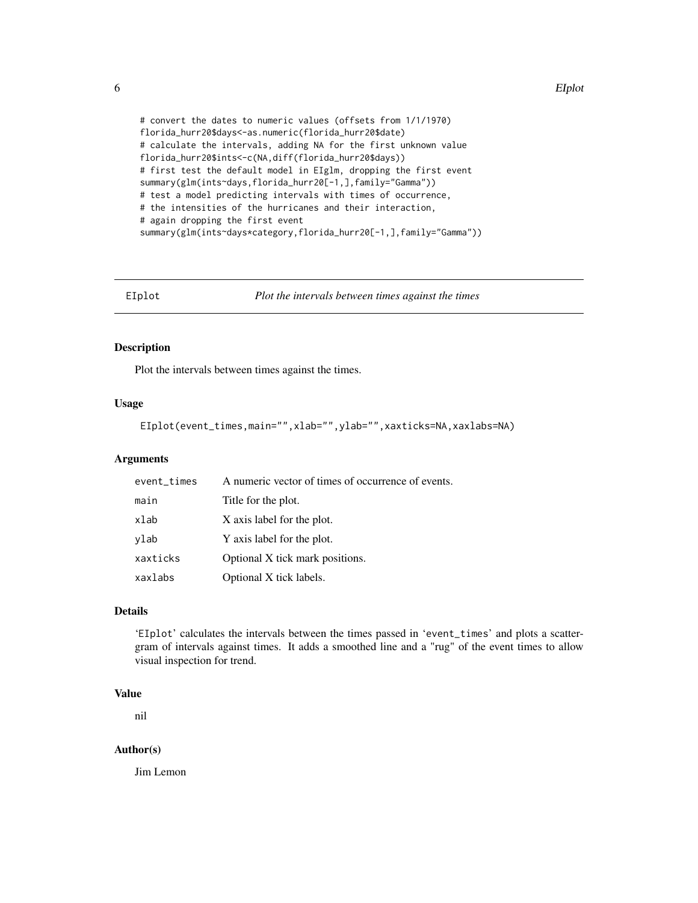```
# convert the dates to numeric values (offsets from 1/1/1970)
florida_hurr20$days<-as.numeric(florida_hurr20$date)
# calculate the intervals, adding NA for the first unknown value
florida_hurr20$ints<-c(NA,diff(florida_hurr20$days))
# first test the default model in EIglm, dropping the first event
summary(glm(ints~days,florida_hurr20[-1,],family="Gamma"))
# test a model predicting intervals with times of occurrence,
# the intensities of the hurricanes and their interaction,
# again dropping the first event
summary(glm(ints~days*category,florida_hurr20[-1,],family="Gamma"))
```
EIplot *Plot the intervals between times against the times*

# Description

Plot the intervals between times against the times.

#### Usage

EIplot(event\_times,main="",xlab="",ylab="",xaxticks=NA,xaxlabs=NA)

# Arguments

| event_times | A numeric vector of times of occurrence of events. |
|-------------|----------------------------------------------------|
| main        | Title for the plot.                                |
| xlab        | X axis label for the plot.                         |
| ylab        | Y axis label for the plot.                         |
| xaxticks    | Optional X tick mark positions.                    |
| xaxlabs     | Optional X tick labels.                            |

# Details

'EIplot' calculates the intervals between the times passed in 'event\_times' and plots a scattergram of intervals against times. It adds a smoothed line and a "rug" of the event times to allow visual inspection for trend.

#### Value

nil

# Author(s)

Jim Lemon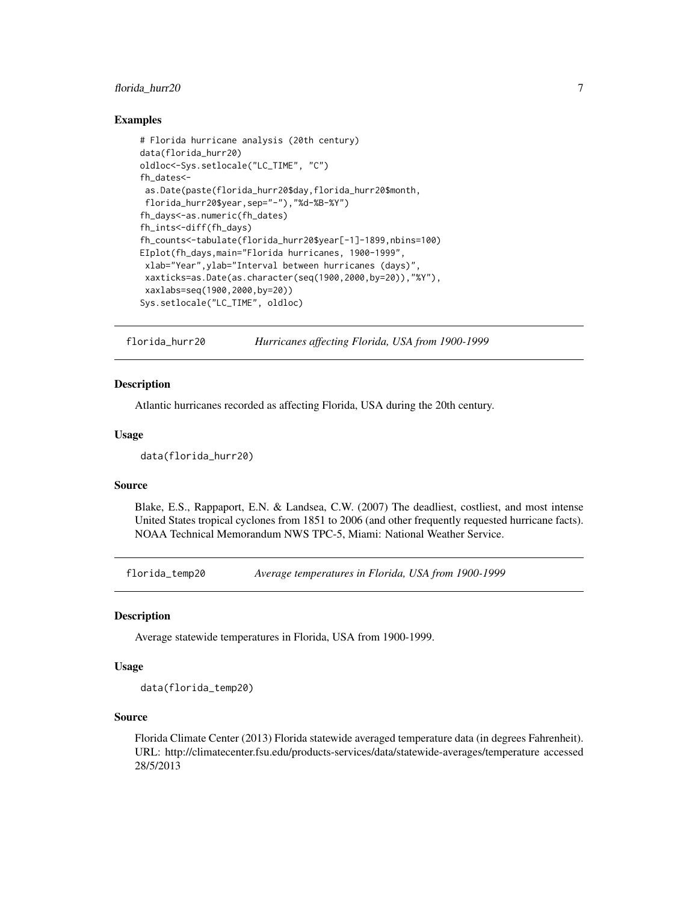# <span id="page-6-0"></span>florida\_hurr20 7

# Examples

```
# Florida hurricane analysis (20th century)
data(florida_hurr20)
oldloc<-Sys.setlocale("LC_TIME", "C")
fh_dates<-
as.Date(paste(florida_hurr20$day,florida_hurr20$month,
florida_hurr20$year,sep="-"),"%d-%B-%Y")
fh_days<-as.numeric(fh_dates)
fh_ints<-diff(fh_days)
fh_counts<-tabulate(florida_hurr20$year[-1]-1899,nbins=100)
EIplot(fh_days,main="Florida hurricanes, 1900-1999",
xlab="Year",ylab="Interval between hurricanes (days)",
xaxticks=as.Date(as.character(seq(1900,2000,by=20)),"%Y"),
xaxlabs=seq(1900,2000,by=20))
Sys.setlocale("LC_TIME", oldloc)
```
florida\_hurr20 *Hurricanes affecting Florida, USA from 1900-1999*

#### **Description**

Atlantic hurricanes recorded as affecting Florida, USA during the 20th century.

#### Usage

```
data(florida_hurr20)
```
#### Source

Blake, E.S., Rappaport, E.N. & Landsea, C.W. (2007) The deadliest, costliest, and most intense United States tropical cyclones from 1851 to 2006 (and other frequently requested hurricane facts). NOAA Technical Memorandum NWS TPC-5, Miami: National Weather Service.

florida\_temp20 *Average temperatures in Florida, USA from 1900-1999*

#### Description

Average statewide temperatures in Florida, USA from 1900-1999.

#### Usage

data(florida\_temp20)

#### Source

Florida Climate Center (2013) Florida statewide averaged temperature data (in degrees Fahrenheit). URL: http://climatecenter.fsu.edu/products-services/data/statewide-averages/temperature accessed 28/5/2013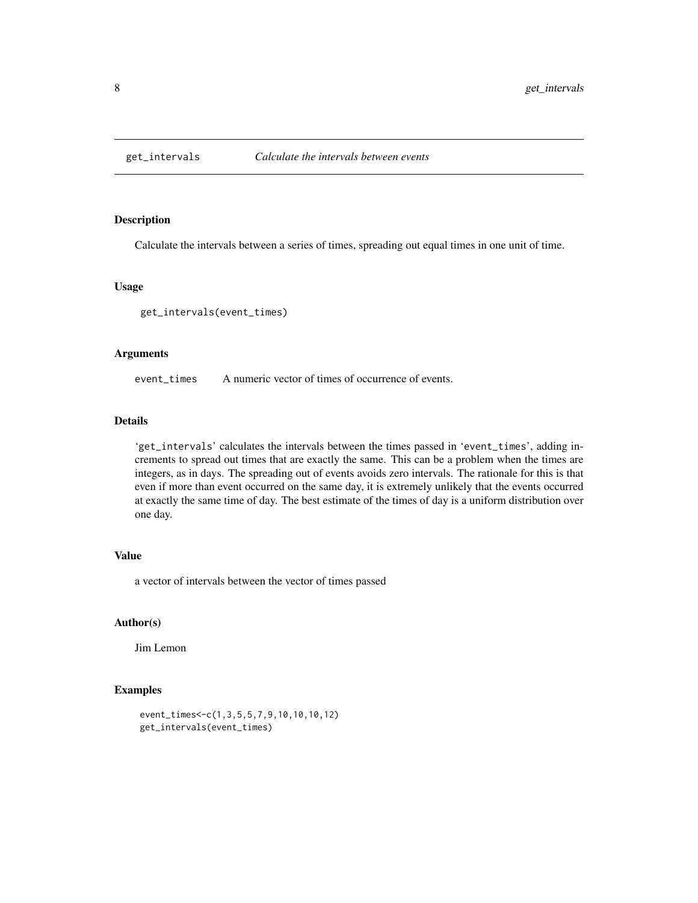<span id="page-7-0"></span>

# Description

Calculate the intervals between a series of times, spreading out equal times in one unit of time.

#### Usage

get\_intervals(event\_times)

#### Arguments

event\_times A numeric vector of times of occurrence of events.

# Details

'get\_intervals' calculates the intervals between the times passed in 'event\_times', adding increments to spread out times that are exactly the same. This can be a problem when the times are integers, as in days. The spreading out of events avoids zero intervals. The rationale for this is that even if more than event occurred on the same day, it is extremely unlikely that the events occurred at exactly the same time of day. The best estimate of the times of day is a uniform distribution over one day.

# Value

a vector of intervals between the vector of times passed

#### Author(s)

Jim Lemon

# Examples

```
event_times<-c(1,3,5,5,7,9,10,10,10,12)
get_intervals(event_times)
```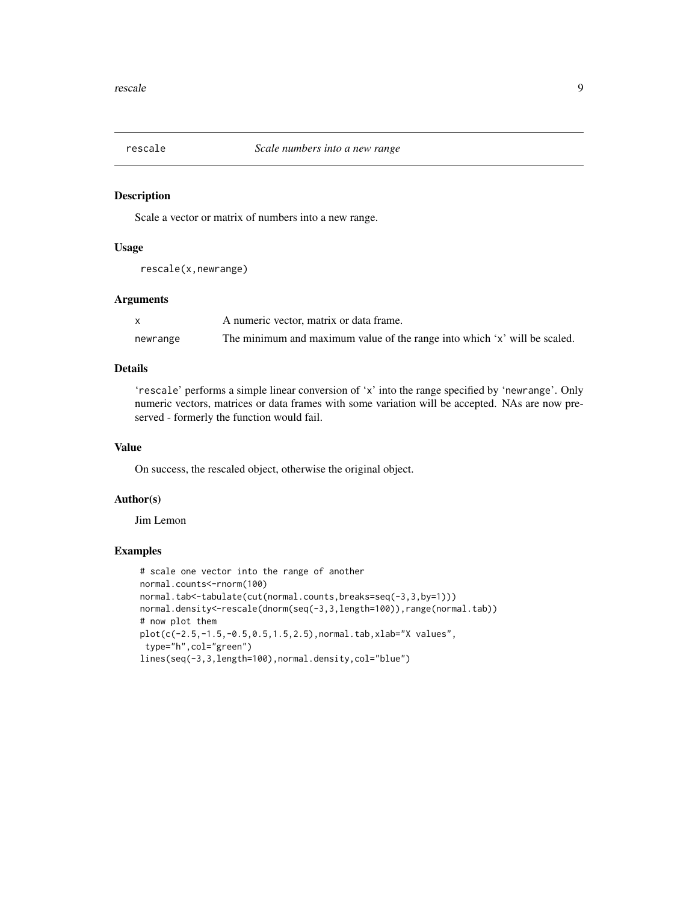<span id="page-8-0"></span>

# Description

Scale a vector or matrix of numbers into a new range.

# Usage

```
rescale(x,newrange)
```
# Arguments

|          | A numeric vector, matrix or data frame.                                   |
|----------|---------------------------------------------------------------------------|
| newrange | The minimum and maximum value of the range into which 'x' will be scaled. |

# Details

'rescale' performs a simple linear conversion of 'x' into the range specified by 'newrange'. Only numeric vectors, matrices or data frames with some variation will be accepted. NAs are now preserved - formerly the function would fail.

#### Value

On success, the rescaled object, otherwise the original object.

## Author(s)

Jim Lemon

# Examples

```
# scale one vector into the range of another
normal.counts<-rnorm(100)
normal.tab<-tabulate(cut(normal.counts,breaks=seq(-3,3,by=1)))
normal.density<-rescale(dnorm(seq(-3,3,length=100)),range(normal.tab))
# now plot them
plot(c(-2.5,-1.5,-0.5,0.5,1.5,2.5),normal.tab,xlab="X values",
type="h",col="green")
lines(seq(-3,3,length=100),normal.density,col="blue")
```